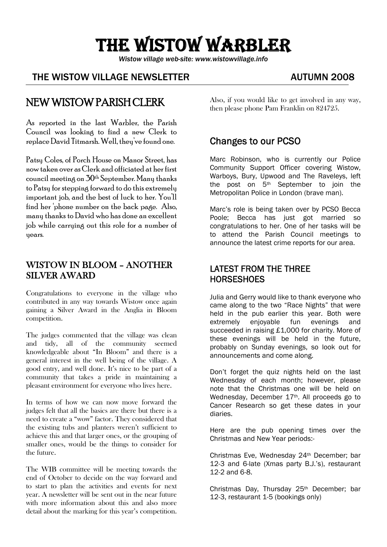# THE WISTOW WARBLER

*Wistow village web-site: www.wistowvillage.info* 

I

#### THE WISTOW VILLAGE NEWSLETTER THE MUTUMN 2008

# NEW WISTOW PARISH CLERK

As reported in the last Warbler, the Parish Council was looking to find a new Clerk to replace David Titmarsh. Well, they've found one.

Patsy Coles, of Porch House on Manor Street, has now taken over as Clerk and officiated at her first council meeting on 30th September. Many thanks to Patsy for stepping forward to do this extremely important job, and the best of luck to her. You'll find her 'phone number on the back page. Also, many thanks to David who has done an excellent job while carrying out this role for a number of years.

#### WISTOW IN BLOOM – ANOTHER SILVER AWARD

Congratulations to everyone in the village who contributed in any way towards Wistow once again gaining a Silver Award in the Anglia in Bloom competition.

The judges commented that the village was clean and tidy, all of the community seemed knowledgeable about "In Bloom" and there is a general interest in the well being of the village. A good entry, and well done. It's nice to be part of a community that takes a pride in maintaining a pleasant environment for everyone who lives here.

In terms of how we can now move forward the judges felt that all the basics are there but there is a need to create a "wow" factor. They considered that the existing tubs and planters weren't sufficient to achieve this and that larger ones, or the grouping of smaller ones, would be the things to consider for the future.

The WIB committee will be meeting towards the end of October to decide on the way forward and to start to plan the activities and events for next year. A newsletter will be sent out in the near future with more information about this and also more detail about the marking for this year's competition. Also, if you would like to get involved in any way, then please phone Pam Franklin on 824725.

### Changes to our PCSO

Marc Robinson, who is currently our Police Community Support Officer covering Wistow, Warboys, Bury, Upwood and The Raveleys, left the post on 5th September to join the Metropolitan Police in London (brave man).

Marc's role is being taken over by PCSO Becca Poole: Becca has just got married so congratulations to her. One of her tasks will be to attend the Parish Council meetings to announce the latest crime reports for our area.

#### LATEST FROM THE THREE **HORSESHOES**

Julia and Gerry would like to thank everyone who came along to the two "Race Nights" that were held in the pub earlier this year. Both were extremely enjoyable fun evenings and succeeded in raising £1,000 for charity. More of these evenings will be held in the future, probably on Sunday evenings, so look out for announcements and come along.

Don't forget the quiz nights held on the last Wednesday of each month; however, please note that the Christmas one will be held on Wednesday, December 17<sup>th</sup>, All proceeds go to Cancer Research so get these dates in your diaries.

Here are the pub opening times over the Christmas and New Year periods:-

Christmas Eve, Wednesday 24th December; bar 12-3 and 6-late (Xmas party B.J.'s), restaurant 12-2 and 6-8.

Christmas Day, Thursday 25th December; bar 12-3, restaurant 1-5 (bookings only)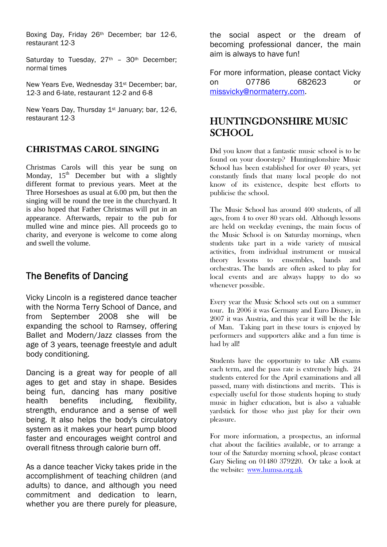Boxing Day, Friday 26th December; bar 12-6, restaurant 12-3

Saturday to Tuesday, 27<sup>th</sup> - 30<sup>th</sup> December; normal times

New Years Eve, Wednesday 31<sup>st</sup> December; bar, 12-3 and 6-late, restaurant 12-2 and 6-8

New Years Day, Thursday 1st January; bar, 12-6, restaurant 12-3

#### **CHRISTMAS CAROL SINGING**

Christmas Carols will this year be sung on Monday,  $15<sup>th</sup>$  December but with a slightly different format to previous years. Meet at the Three Horseshoes as usual at 6.00 pm, but then the singing will be round the tree in the churchyard. It is also hoped that Father Christmas will put in an appearance. Afterwards, repair to the pub for mulled wine and mince pies. All proceeds go to charity, and everyone is welcome to come along and swell the volume.

## The Benefits of Dancing

Vicky Lincoln is a registered dance teacher with the Norma Terry School of Dance, and from September 2008 she will be expanding the school to Ramsey, offering Ballet and Modern/Jazz classes from the age of 3 years, teenage freestyle and adult body conditioning.

Dancing is a great way for people of all ages to get and stay in shape. Besides being fun, dancing has many positive health benefits including, flexibility, strength, endurance and a sense of well being. It also helps the body's circulatory system as it makes your heart pump blood faster and encourages weight control and overall fitness through calorie burn off.

As a dance teacher Vicky takes pride in the accomplishment of teaching children (and adults) to dance, and although you need commitment and dedication to learn, whether you are there purely for pleasure, the social aspect or the dream of becoming professional dancer, the main aim is always to have fun!

For more information, please contact Vicky on 07786 682623 or missvicky@normaterry.com.

# HUNTINGDONSHIRE MUSIC SCHOOL

Did you know that a fantastic music school is to be found on your doorstep? Huntingdonshire Music School has been established for over 40 years, yet constantly finds that many local people do not know of its existence, despite best efforts to publicise the school.

The Music School has around 400 students, of all ages, from 4 to over 80 years old. Although lessons are held on weekday evenings, the main focus of the Music School is on Saturday mornings, when students take part in a wide variety of musical activities, from individual instrument or musical theory lessons to ensembles, bands and orchestras. The bands are often asked to play for local events and are always happy to do so whenever possible.

Every year the Music School sets out on a summer tour. In 2006 it was Germany and Euro Disney, in 2007 it was Austria, and this year it will be the Isle of Man. Taking part in these tours is enjoyed by performers and supporters alike and a fun time is had by all!

Students have the opportunity to take AB exams each term, and the pass rate is extremely high. 24 students entered for the April examinations and all passed, many with distinctions and merits. This is especially useful for those students hoping to study music in higher education, but is also a valuable yardstick for those who just play for their own pleasure.

For more information, a prospectus, an informal chat about the facilities available, or to arrange a tour of the Saturday morning school, please contact Gary Sieling on 01480 379220. Or take a look at the website: www.humsa.org.uk